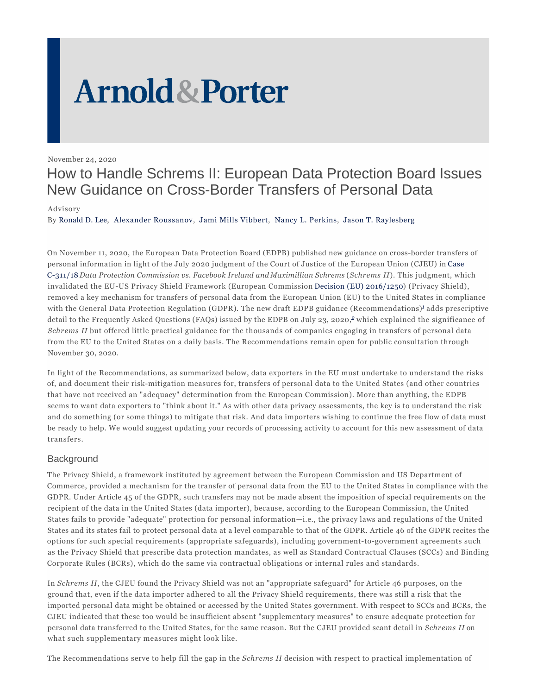# **Arnold & Porter**

November 24, 2020

# How to Handle Schrems II: European Data Protection Board Issues New Guidance on Cross-Border Transfers of Personal Data

Advisory

By Ronald D. Lee, Alexander Roussanov, Jami Mills Vibbert, Nancy L. Perkins, Jason T. Raylesberg

On November 11, 2020, the European Data Protection Board (EDPB) published new guidance on cross-border transfers of personal information in light of the July 2020 judgment of the Court of Justice of the European Union (CJEU) in Case C-311/18 *Data Protection Commission vs. Facebook Ireland and Maximillian Schrems* (*Schrems II*). This judgment, which invalidated the EU-US Privacy Shield Framework (European Commission Decision (EU) 2016/1250) (Privacy Shield), removed a key mechanism for transfers of personal data from the European Union (EU) to the United States in compliance with the General Data Protection Regulation (GDPR). The new draft EDPB guidance (Recommendations)<sup>*1*</sup> adds prescriptive detail to the Frequently Asked Questions (FAQs) issued by the EDPB on July 23, 2020,*2* which explained the significance of *Schrems II* but offered little practical guidance for the thousands of companies engaging in transfers of personal data from the EU to the United States on a daily basis. The Recommendations remain open for public consultation through November 30, 2020.

In light of the Recommendations, as summarized below, data exporters in the EU must undertake to understand the risks of, and document their risk-mitigation measures for, transfers of personal data to the United States (and other countries that have not received an "adequacy" determination from the European Commission). More than anything, the EDPB seems to want data exporters to "think about it." As with other data privacy assessments, the key is to understand the risk and do something (or some things) to mitigate that risk. And data importers wishing to continue the free flow of data must be ready to help. We would suggest updating your records of processing activity to account for this new assessment of data transfers.

# **Background**

The Privacy Shield, a framework instituted by agreement between the European Commission and US Department of Commerce, provided a mechanism for the transfer of personal data from the EU to the United States in compliance with the GDPR. Under Article 45 of the GDPR, such transfers may not be made absent the imposition of special requirements on the recipient of the data in the United States (data importer), because, according to the European Commission, the United States fails to provide "adequate" protection for personal information—i.e., the privacy laws and regulations of the United States and its states fail to protect personal data at a level comparable to that of the GDPR. Article 46 of the GDPR recites the options for such special requirements (appropriate safeguards), including government-to-government agreements such as the Privacy Shield that prescribe data protection mandates, as well as Standard Contractual Clauses (SCCs) and Binding Corporate Rules (BCRs), which do the same via contractual obligations or internal rules and standards.

In *Schrems II*, the CJEU found the Privacy Shield was not an "appropriate safeguard" for Article 46 purposes, on the ground that, even if the data importer adhered to all the Privacy Shield requirements, there was still a risk that the imported personal data might be obtained or accessed by the United States government. With respect to SCCs and BCRs, the CJEU indicated that these too would be insufficient absent "supplementary measures" to ensure adequate protection for personal data transferred to the United States, for the same reason. But the CJEU provided scant detail in *Schrems II* on what such supplementary measures might look like.

The Recommendations serve to help fill the gap in the *Schrems II* decision with respect to practical implementation of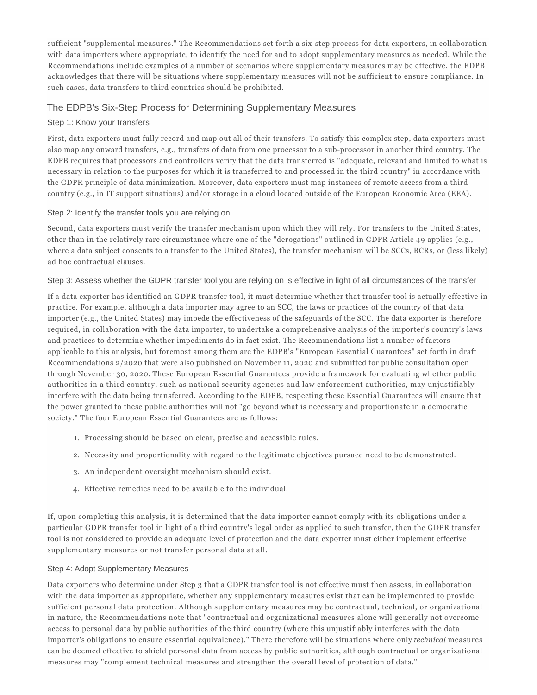sufficient "supplemental measures." The Recommendations set forth a six-step process for data exporters, in collaboration with data importers where appropriate, to identify the need for and to adopt supplementary measures as needed. While the Recommendations include examples of a number of scenarios where supplementary measures may be effective, the EDPB acknowledges that there will be situations where supplementary measures will not be sufficient to ensure compliance. In such cases, data transfers to third countries should be prohibited.

## The EDPB's Six-Step Process for Determining Supplementary Measures

#### Step 1: Know your transfers

First, data exporters must fully record and map out all of their transfers. To satisfy this complex step, data exporters must also map any onward transfers, e.g., transfers of data from one processor to a sub-processor in another third country. The EDPB requires that processors and controllers verify that the data transferred is "adequate, relevant and limited to what is necessary in relation to the purposes for which it is transferred to and processed in the third country" in accordance with the GDPR principle of data minimization. Moreover, data exporters must map instances of remote access from a third country (e.g., in IT support situations) and/or storage in a cloud located outside of the European Economic Area (EEA).

#### Step 2: Identify the transfer tools you are relying on

Second, data exporters must verify the transfer mechanism upon which they will rely. For transfers to the United States, other than in the relatively rare circumstance where one of the "derogations" outlined in GDPR Article 49 applies (e.g., where a data subject consents to a transfer to the United States), the transfer mechanism will be SCCs, BCRs, or (less likely) ad hoc contractual clauses.

#### Step 3: Assess whether the GDPR transfer tool you are relying on is effective in light of all circumstances of the transfer

If a data exporter has identified an GDPR transfer tool, it must determine whether that transfer tool is actually effective in practice. For example, although a data importer may agree to an SCC, the laws or practices of the country of that data importer (e.g., the United States) may impede the effectiveness of the safeguards of the SCC. The data exporter is therefore required, in collaboration with the data importer, to undertake a comprehensive analysis of the importer's country's laws and practices to determine whether impediments do in fact exist. The Recommendations list a number of factors applicable to this analysis, but foremost among them are the EDPB's "European Essential Guarantees" set forth in draft Recommendations 2/2020 that were also published on November 11, 2020 and submitted for public consultation open through November 30, 2020. These European Essential Guarantees provide a framework for evaluating whether public authorities in a third country, such as national security agencies and law enforcement authorities, may unjustifiably interfere with the data being transferred. According to the EDPB, respecting these Essential Guarantees will ensure that the power granted to these public authorities will not "go beyond what is necessary and proportionate in a democratic society." The four European Essential Guarantees are as follows:

- 1. Processing should be based on clear, precise and accessible rules.
- 2. Necessity and proportionality with regard to the legitimate objectives pursued need to be demonstrated.
- 3. An independent oversight mechanism should exist.
- 4. Effective remedies need to be available to the individual.

If, upon completing this analysis, it is determined that the data importer cannot comply with its obligations under a particular GDPR transfer tool in light of a third country's legal order as applied to such transfer, then the GDPR transfer tool is not considered to provide an adequate level of protection and the data exporter must either implement effective supplementary measures or not transfer personal data at all.

#### Step 4: Adopt Supplementary Measures

Data exporters who determine under Step 3 that a GDPR transfer tool is not effective must then assess, in collaboration with the data importer as appropriate, whether any supplementary measures exist that can be implemented to provide sufficient personal data protection. Although supplementary measures may be contractual, technical, or organizational in nature, the Recommendations note that "contractual and organizational measures alone will generally not overcome access to personal data by public authorities of the third country (where this unjustifiably interferes with the data importer's obligations to ensure essential equivalence)." There therefore will be situations where only *technical* measures can be deemed effective to shield personal data from access by public authorities, although contractual or organizational measures may "complement technical measures and strengthen the overall level of protection of data."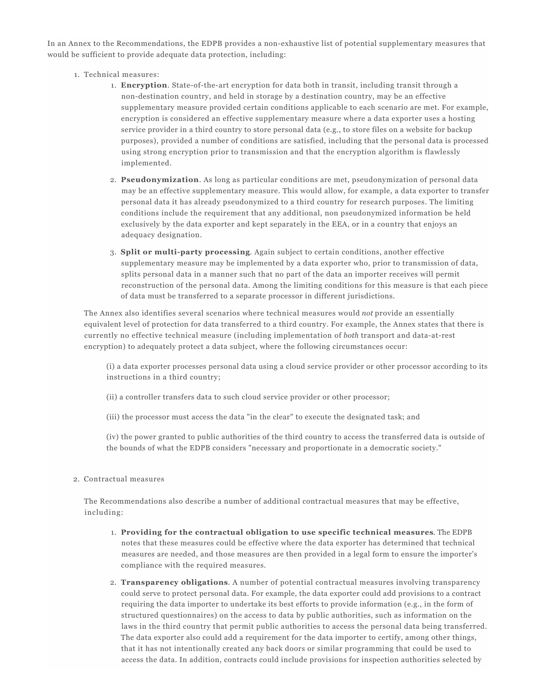In an Annex to the Recommendations, the EDPB provides a non-exhaustive list of potential supplementary measures that would be sufficient to provide adequate data protection, including:

- 1. Technical measures:
	- **Encryption**. State-of-the-art encryption for data both in transit, including transit through a 1. non-destination country, and held in storage by a destination country, may be an effective supplementary measure provided certain conditions applicable to each scenario are met. For example, encryption is considered an effective supplementary measure where a data exporter uses a hosting service provider in a third country to store personal data (e.g., to store files on a website for backup purposes), provided a number of conditions are satisfied, including that the personal data is processed using strong encryption prior to transmission and that the encryption algorithm is flawlessly implemented.
	- **Pseudonymization**. As long as particular conditions are met, pseudonymization of personal data 2. may be an effective supplementary measure. This would allow, for example, a data exporter to transfer personal data it has already pseudonymized to a third country for research purposes. The limiting conditions include the requirement that any additional, non pseudonymized information be held exclusively by the data exporter and kept separately in the EEA, or in a country that enjoys an adequacy designation.
	- **Split or multi-party processing**. Again subject to certain conditions, another effective 3. supplementary measure may be implemented by a data exporter who, prior to transmission of data, splits personal data in a manner such that no part of the data an importer receives will permit reconstruction of the personal data. Among the limiting conditions for this measure is that each piece of data must be transferred to a separate processor in different jurisdictions.

The Annex also identifies several scenarios where technical measures would *not* provide an essentially equivalent level of protection for data transferred to a third country. For example, the Annex states that there is currently no effective technical measure (including implementation of *both* transport and data-at-rest encryption) to adequately protect a data subject, where the following circumstances occur:

(i) a data exporter processes personal data using a cloud service provider or other processor according to its instructions in a third country;

- (ii) a controller transfers data to such cloud service provider or other processor;
- (iii) the processor must access the data "in the clear" to execute the designated task; and

(iv) the power granted to public authorities of the third country to access the transferred data is outside of the bounds of what the EDPB considers "necessary and proportionate in a democratic society."

Contractual measures 2.

The Recommendations also describe a number of additional contractual measures that may be effective, including:

- **Providing for the contractual obligation to use specific technical measures**. The EDPB 1. notes that these measures could be effective where the data exporter has determined that technical measures are needed, and those measures are then provided in a legal form to ensure the importer's compliance with the required measures.
- **Transparency obligations**. A number of potential contractual measures involving transparency 2. could serve to protect personal data. For example, the data exporter could add provisions to a contract requiring the data importer to undertake its best efforts to provide information (e.g., in the form of structured questionnaires) on the access to data by public authorities, such as information on the laws in the third country that permit public authorities to access the personal data being transferred. The data exporter also could add a requirement for the data importer to certify, among other things, that it has not intentionally created any back doors or similar programming that could be used to access the data. In addition, contracts could include provisions for inspection authorities selected by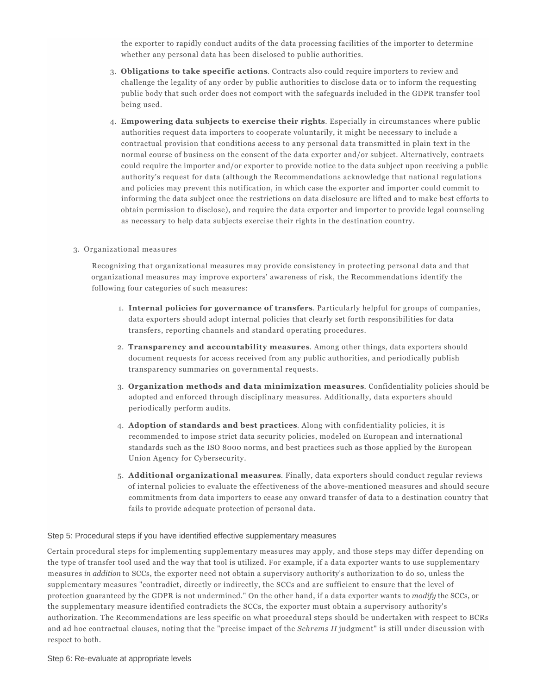the exporter to rapidly conduct audits of the data processing facilities of the importer to determine whether any personal data has been disclosed to public authorities.

- **Obligations to take specific actions**. Contracts also could require importers to review and 3. challenge the legality of any order by public authorities to disclose data or to inform the requesting public body that such order does not comport with the safeguards included in the GDPR transfer tool being used.
- **Empowering data subjects to exercise their rights**. Especially in circumstances where public 4. authorities request data importers to cooperate voluntarily, it might be necessary to include a contractual provision that conditions access to any personal data transmitted in plain text in the normal course of business on the consent of the data exporter and/or subject. Alternatively, contracts could require the importer and/or exporter to provide notice to the data subject upon receiving a public authority's request for data (although the Recommendations acknowledge that national regulations and policies may prevent this notification, in which case the exporter and importer could commit to informing the data subject once the restrictions on data disclosure are lifted and to make best efforts to obtain permission to disclose), and require the data exporter and importer to provide legal counseling as necessary to help data subjects exercise their rights in the destination country.

#### 3. Organizational measures

Recognizing that organizational measures may provide consistency in protecting personal data and that organizational measures may improve exporters' awareness of risk, the Recommendations identify the following four categories of such measures:

- **Internal policies for governance of transfers**. Particularly helpful for groups of companies, 1. data exporters should adopt internal policies that clearly set forth responsibilities for data transfers, reporting channels and standard operating procedures.
- **Transparency and accountability measures**. Among other things, data exporters should 2. document requests for access received from any public authorities, and periodically publish transparency summaries on governmental requests.
- **Organization methods and data minimization measures**. Confidentiality policies should be 3. adopted and enforced through disciplinary measures. Additionally, data exporters should periodically perform audits.
- **Adoption of standards and best practices**. Along with confidentiality policies, it is 4. recommended to impose strict data security policies, modeled on European and international standards such as the ISO 8000 norms, and best practices such as those applied by the European Union Agency for Cybersecurity.
- **Additional organizational measures**. Finally, data exporters should conduct regular reviews 5. of internal policies to evaluate the effectiveness of the above-mentioned measures and should secure commitments from data importers to cease any onward transfer of data to a destination country that fails to provide adequate protection of personal data.

#### Step 5: Procedural steps if you have identified effective supplementary measures

Certain procedural steps for implementing supplementary measures may apply, and those steps may differ depending on the type of transfer tool used and the way that tool is utilized. For example, if a data exporter wants to use supplementary measures *in addition* to SCCs, the exporter need not obtain a supervisory authority's authorization to do so, unless the supplementary measures "contradict, directly or indirectly, the SCCs and are sufficient to ensure that the level of protection guaranteed by the GDPR is not undermined." On the other hand, if a data exporter wants to *modify* the SCCs, or the supplementary measure identified contradicts the SCCs, the exporter must obtain a supervisory authority's authorization. The Recommendations are less specific on what procedural steps should be undertaken with respect to BCRs and ad hoc contractual clauses, noting that the "precise impact of the *Schrems II* judgment" is still under discussion with respect to both.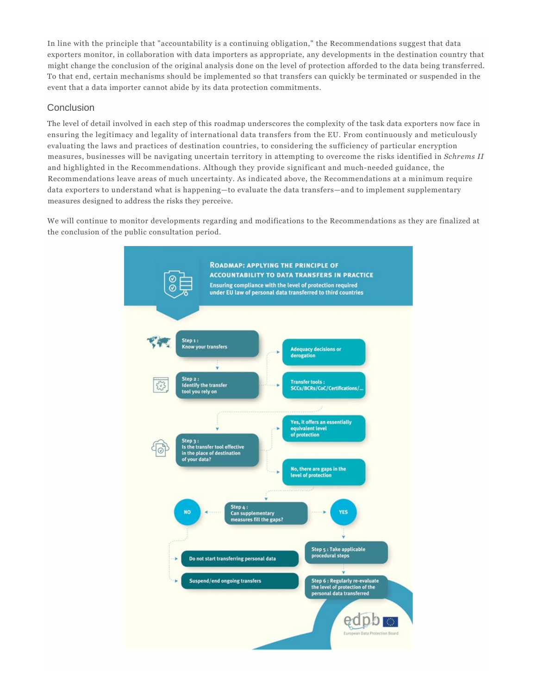In line with the principle that "accountability is a continuing obligation," the Recommendations suggest that data exporters monitor, in collaboration with data importers as appropriate, any developments in the destination country that might change the conclusion of the original analysis done on the level of protection afforded to the data being transferred. To that end, certain mechanisms should be implemented so that transfers can quickly be terminated or suspended in the event that a data importer cannot abide by its data protection commitments.

## Conclusion

The level of detail involved in each step of this roadmap underscores the complexity of the task data exporters now face in ensuring the legitimacy and legality of international data transfers from the EU. From continuously and meticulously evaluating the laws and practices of destination countries, to considering the sufficiency of particular encryption measures, businesses will be navigating uncertain territory in attempting to overcome the risks identified in *Schrems II* and highlighted in the Recommendations. Although they provide significant and much-needed guidance, the Recommendations leave areas of much uncertainty. As indicated above, the Recommendations at a minimum require data exporters to understand what is happening—to evaluate the data transfers—and to implement supplementary measures designed to address the risks they perceive.

We will continue to monitor developments regarding and modifications to the Recommendations as they are finalized at the conclusion of the public consultation period.